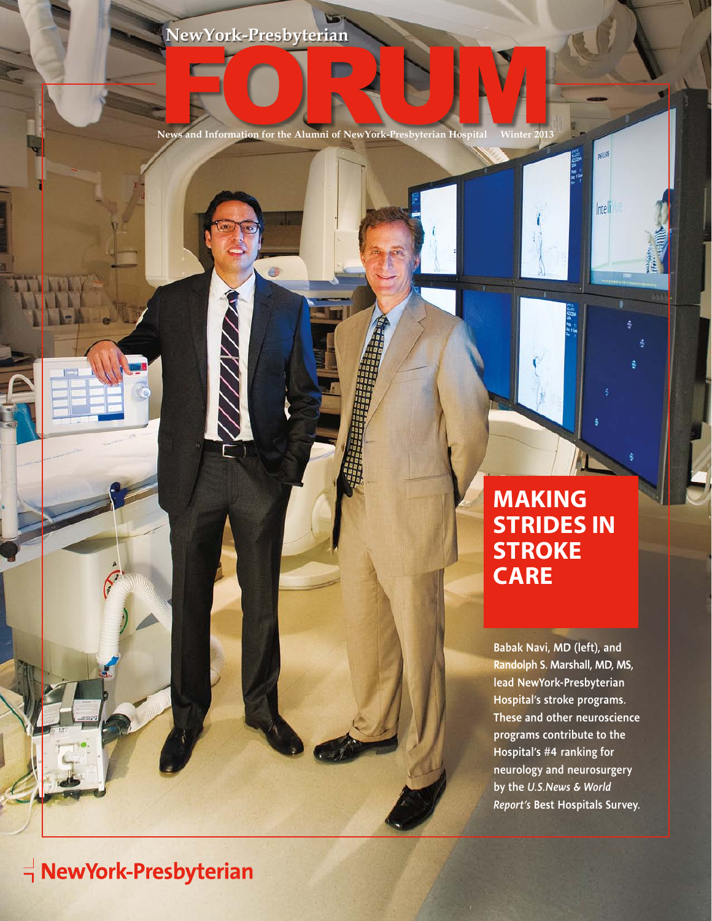0

**News and Information for the Alumni of NewYork-Presbyterian Hospital Winter 2013**

D

# **Making Strides in stroke care**

**BRILLIPS** 

Intelli

Babak Navi, MD (left), and Randolph S. Marshall, MD, MS, lead NewYork-Presbyterian Hospital's stroke programs. These and other neuroscience programs contribute to the Hospital's #4 ranking for neurology and neurosurgery by the *U.S.News & World Report's* Best Hospitals Survey.

# $\overrightarrow{\mathbf{q}}$  NewYork-Presbyterian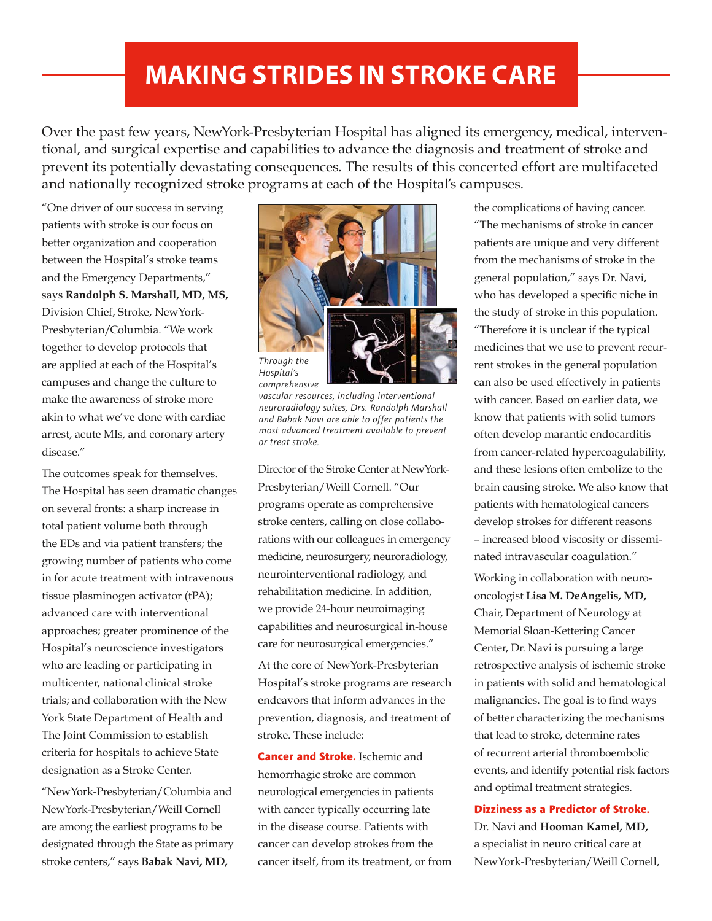# **Making Strides in stroke care**

Over the past few years, NewYork-Presbyterian Hospital has aligned its emergency, medical, interventional, and surgical expertise and capabilities to advance the diagnosis and treatment of stroke and prevent its potentially devastating consequences. The results of this concerted effort are multifaceted and nationally recognized stroke programs at each of the Hospital's campuses.

"One driver of our success in serving patients with stroke is our focus on better organization and cooperation between the Hospital's stroke teams and the Emergency Departments," says **Randolph S. Marshall, MD, MS,** Division Chief, Stroke, NewYork-Presbyterian/Columbia. "We work together to develop protocols that are applied at each of the Hospital's campuses and change the culture to make the awareness of stroke more akin to what we've done with cardiac arrest, acute MIs, and coronary artery disease."

The outcomes speak for themselves. The Hospital has seen dramatic changes on several fronts: a sharp increase in total patient volume both through the EDs and via patient transfers; the growing number of patients who come in for acute treatment with intravenous tissue plasminogen activator (tPA); advanced care with interventional approaches; greater prominence of the Hospital's neuroscience investigators who are leading or participating in multicenter, national clinical stroke trials; and collaboration with the New York State Department of Health and The Joint Commission to establish criteria for hospitals to achieve State designation as a Stroke Center.

"NewYork-Presbyterian/Columbia and NewYork-Presbyterian/Weill Cornell are among the earliest programs to be designated through the State as primary stroke centers," says **Babak Navi, MD,**



*Through the Hospital's comprehensive* 

*vascular resources, including interventional neuroradiology suites, Drs. Randolph Marshall and Babak Navi are able to offer patients the most advanced treatment available to prevent or treat stroke.*

Director of the Stroke Center at NewYork-Presbyterian/Weill Cornell. "Our programs operate as comprehensive stroke centers, calling on close collaborations with our colleagues in emergency medicine, neurosurgery, neuroradiology, neurointerventional radiology, and rehabilitation medicine. In addition, we provide 24-hour neuroimaging capabilities and neurosurgical in-house care for neurosurgical emergencies."

At the core of NewYork-Presbyterian Hospital's stroke programs are research endeavors that inform advances in the prevention, diagnosis, and treatment of stroke. These include:

**Cancer and Stroke.** Ischemic and hemorrhagic stroke are common neurological emergencies in patients with cancer typically occurring late in the disease course. Patients with cancer can develop strokes from the cancer itself, from its treatment, or from the complications of having cancer. "The mechanisms of stroke in cancer patients are unique and very different from the mechanisms of stroke in the general population," says Dr. Navi, who has developed a specific niche in the study of stroke in this population. "Therefore it is unclear if the typical medicines that we use to prevent recurrent strokes in the general population can also be used effectively in patients with cancer. Based on earlier data, we know that patients with solid tumors often develop marantic endocarditis from cancer-related hypercoagulability, and these lesions often embolize to the brain causing stroke. We also know that patients with hematological cancers develop strokes for different reasons – increased blood viscosity or disseminated intravascular coagulation." Working in collaboration with neurooncologist **Lisa M. DeAngelis, MD,**  Chair, Department of Neurology at Memorial Sloan-Kettering Cancer Center, Dr. Navi is pursuing a large retrospective analysis of ischemic stroke in patients with solid and hematological malignancies. The goal is to find ways of better characterizing the mechanisms that lead to stroke, determine rates of recurrent arterial thromboembolic events, and identify potential risk factors and optimal treatment strategies.

#### **Dizziness as a Predictor of Stroke.**

Dr. Navi and **Hooman Kamel, MD,** a specialist in neuro critical care at NewYork-Presbyterian/Weill Cornell,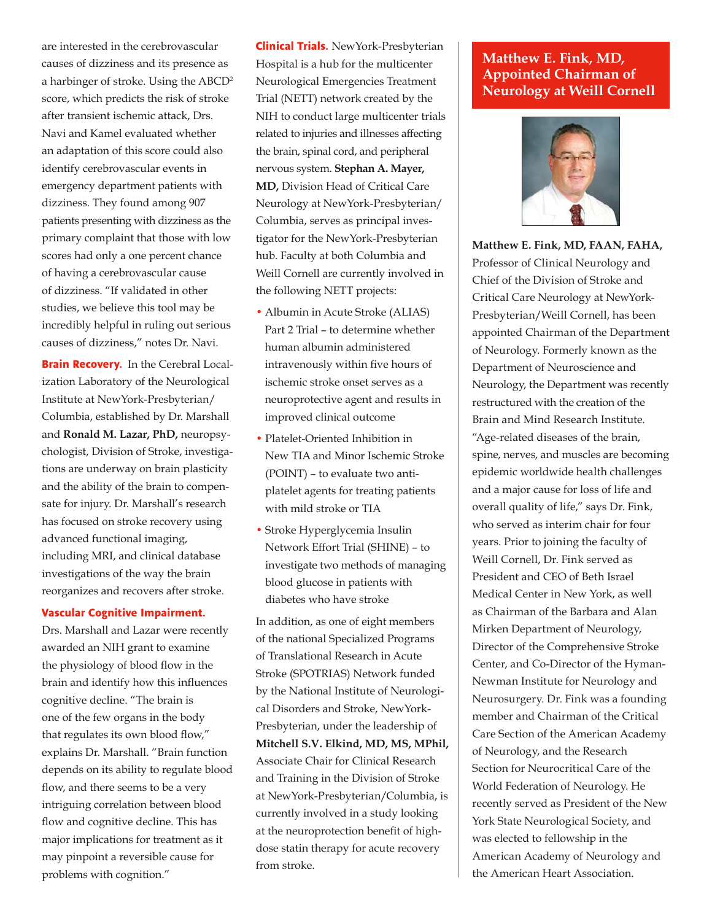are interested in the cerebrovascular causes of dizziness and its presence as a harbinger of stroke. Using the ABCD2 score, which predicts the risk of stroke after transient ischemic attack, Drs. Navi and Kamel evaluated whether an adaptation of this score could also identify cerebrovascular events in emergency department patients with dizziness. They found among 907 patients presenting with dizziness as the primary complaint that those with low scores had only a one percent chance of having a cerebrovascular cause of dizziness. "If validated in other studies, we believe this tool may be incredibly helpful in ruling out serious causes of dizziness," notes Dr. Navi.

**Brain Recovery.** In the Cerebral Localization Laboratory of the Neurological Institute at NewYork-Presbyterian/ Columbia, established by Dr. Marshall and **Ronald M. Lazar, PhD,** neuropsychologist, Division of Stroke, investigations are underway on brain plasticity and the ability of the brain to compensate for injury. Dr. Marshall's research has focused on stroke recovery using advanced functional imaging, including MRI, and clinical database investigations of the way the brain reorganizes and recovers after stroke.

#### **Vascular Cognitive Impairment.**

Drs. Marshall and Lazar were recently awarded an NIH grant to examine the physiology of blood flow in the brain and identify how this influences cognitive decline. "The brain is one of the few organs in the body that regulates its own blood flow," explains Dr. Marshall. "Brain function depends on its ability to regulate blood flow, and there seems to be a very intriguing correlation between blood flow and cognitive decline. This has major implications for treatment as it may pinpoint a reversible cause for problems with cognition."

**Clinical Trials.** NewYork-Presbyterian Hospital is a hub for the multicenter Neurological Emergencies Treatment Trial (NETT) network created by the NIH to conduct large multicenter trials related to injuries and illnesses affecting the brain, spinal cord, and peripheral nervous system. **Stephan A. Mayer, MD,** Division Head of Critical Care Neurology at NewYork-Presbyterian/ Columbia, serves as principal investigator for the NewYork-Presbyterian hub. Faculty at both Columbia and Weill Cornell are currently involved in the following NETT projects:

- Albumin in Acute Stroke (ALIAS) Part 2 Trial – to determine whether human albumin administered intravenously within five hours of ischemic stroke onset serves as a neuroprotective agent and results in improved clinical outcome
- Platelet-Oriented Inhibition in New TIA and Minor Ischemic Stroke (POINT) – to evaluate two antiplatelet agents for treating patients with mild stroke or TIA
- Stroke Hyperglycemia Insulin Network Effort Trial (SHINE) – to investigate two methods of managing blood glucose in patients with diabetes who have stroke

In addition, as one of eight members of the national Specialized Programs of Translational Research in Acute Stroke (SPOTRIAS) Network funded by the National Institute of Neurological Disorders and Stroke, NewYork-Presbyterian, under the leadership of **Mitchell S.V. Elkind, MD, MS, MPhil,** Associate Chair for Clinical Research and Training in the Division of Stroke at NewYork-Presbyterian/Columbia, is currently involved in a study looking at the neuroprotection benefit of highdose statin therapy for acute recovery from stroke.

### **Matthew E. Fink, MD, Appointed Chairman of Neurology at Weill Cornell**



**Matthew E. Fink, MD, FAAN, FAHA,**  Professor of Clinical Neurology and Chief of the Division of Stroke and Critical Care Neurology at NewYork-Presbyterian/Weill Cornell, has been appointed Chairman of the Department of Neurology. Formerly known as the Department of Neuroscience and Neurology, the Department was recently restructured with the creation of the Brain and Mind Research Institute. "Age-related diseases of the brain, spine, nerves, and muscles are becoming epidemic worldwide health challenges and a major cause for loss of life and overall quality of life," says Dr. Fink, who served as interim chair for four years. Prior to joining the faculty of Weill Cornell, Dr. Fink served as President and CEO of Beth Israel Medical Center in New York, as well as Chairman of the Barbara and Alan Mirken Department of Neurology, Director of the Comprehensive Stroke Center, and Co-Director of the Hyman-Newman Institute for Neurology and Neurosurgery. Dr. Fink was a founding member and Chairman of the Critical Care Section of the American Academy of Neurology, and the Research Section for Neurocritical Care of the World Federation of Neurology. He recently served as President of the New York State Neurological Society, and was elected to fellowship in the American Academy of Neurology and the American Heart Association.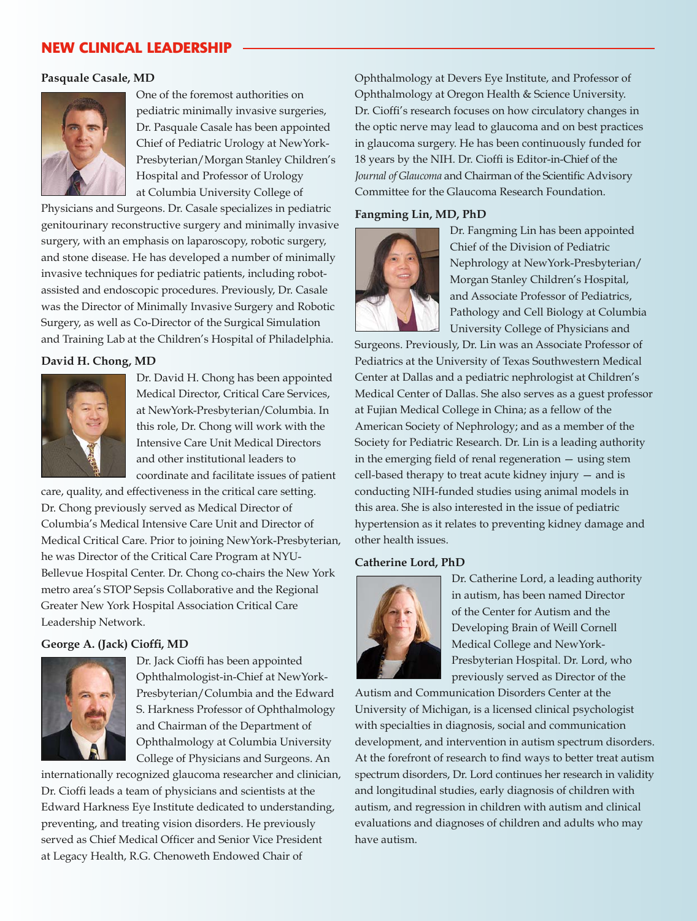# **New Clinical Leadership**

#### **Pasquale Casale, MD**



One of the foremost authorities on pediatric minimally invasive surgeries, Dr. Pasquale Casale has been appointed Chief of Pediatric Urology at NewYork-Presbyterian/Morgan Stanley Children's Hospital and Professor of Urology at Columbia University College of

Physicians and Surgeons. Dr. Casale specializes in pediatric genitourinary reconstructive surgery and minimally invasive surgery, with an emphasis on laparoscopy, robotic surgery, and stone disease. He has developed a number of minimally invasive techniques for pediatric patients, including robotassisted and endoscopic procedures. Previously, Dr. Casale was the Director of Minimally Invasive Surgery and Robotic Surgery, as well as Co-Director of the Surgical Simulation and Training Lab at the Children's Hospital of Philadelphia.

#### **David H. Chong, MD**



Dr. David H. Chong has been appointed Medical Director, Critical Care Services, at NewYork-Presbyterian/Columbia. In this role, Dr. Chong will work with the Intensive Care Unit Medical Directors and other institutional leaders to coordinate and facilitate issues of patient

care, quality, and effectiveness in the critical care setting. Dr. Chong previously served as Medical Director of Columbia's Medical Intensive Care Unit and Director of Medical Critical Care. Prior to joining NewYork-Presbyterian, he was Director of the Critical Care Program at NYU-Bellevue Hospital Center. Dr. Chong co-chairs the New York metro area's STOP Sepsis Collaborative and the Regional Greater New York Hospital Association Critical Care Leadership Network.

#### **George A. (Jack) Cioffi, MD**



Dr. Jack Cioffi has been appointed Ophthalmologist-in-Chief at NewYork-Presbyterian/Columbia and the Edward S. Harkness Professor of Ophthalmology and Chairman of the Department of Ophthalmology at Columbia University College of Physicians and Surgeons. An

internationally recognized glaucoma researcher and clinician, Dr. Cioffi leads a team of physicians and scientists at the Edward Harkness Eye Institute dedicated to understanding, preventing, and treating vision disorders. He previously served as Chief Medical Officer and Senior Vice President at Legacy Health, R.G. Chenoweth Endowed Chair of

Ophthalmology at Devers Eye Institute, and Professor of Ophthalmology at Oregon Health & Science University. Dr. Cioffi's research focuses on how circulatory changes in the optic nerve may lead to glaucoma and on best practices in glaucoma surgery. He has been continuously funded for 18 years by the NIH. Dr. Cioffi is Editor-in-Chief of the *Journal of Glaucoma* and Chairman of the Scientific Advisory Committee for the Glaucoma Research Foundation.

#### **Fangming Lin, MD, PhD**



Dr. Fangming Lin has been appointed Chief of the Division of Pediatric Nephrology at NewYork-Presbyterian/ Morgan Stanley Children's Hospital, and Associate Professor of Pediatrics, Pathology and Cell Biology at Columbia University College of Physicians and

Surgeons. Previously, Dr. Lin was an Associate Professor of Pediatrics at the University of Texas Southwestern Medical Center at Dallas and a pediatric nephrologist at Children's Medical Center of Dallas. She also serves as a guest professor at Fujian Medical College in China; as a fellow of the American Society of Nephrology; and as a member of the Society for Pediatric Research. Dr. Lin is a leading authority in the emerging field of renal regeneration — using stem cell-based therapy to treat acute kidney injury — and is conducting NIH-funded studies using animal models in this area. She is also interested in the issue of pediatric hypertension as it relates to preventing kidney damage and other health issues.

#### **Catherine Lord, PhD**



Dr. Catherine Lord, a leading authority in autism, has been named Director of the Center for Autism and the Developing Brain of Weill Cornell Medical College and NewYork-Presbyterian Hospital. Dr. Lord, who previously served as Director of the

Autism and Communication Disorders Center at the University of Michigan, is a licensed clinical psychologist with specialties in diagnosis, social and communication development, and intervention in autism spectrum disorders. At the forefront of research to find ways to better treat autism spectrum disorders, Dr. Lord continues her research in validity and longitudinal studies, early diagnosis of children with autism, and regression in children with autism and clinical evaluations and diagnoses of children and adults who may have autism.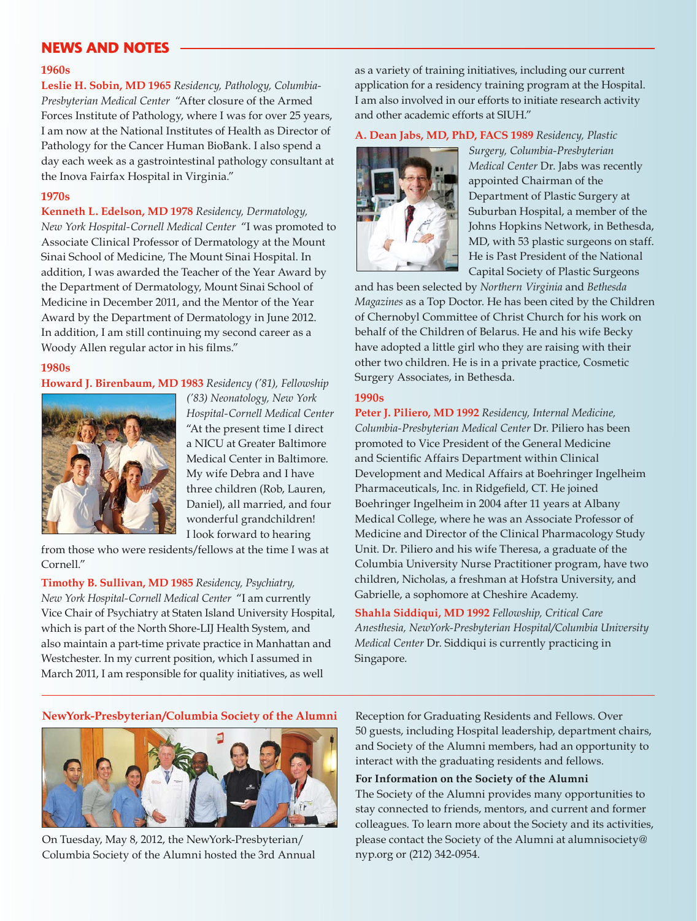# **News and Notes**

#### **1960s**

**Leslie H. Sobin, MD 1965** *Residency, Pathology, Columbia-Presbyterian Medical Center* "After closure of the Armed Forces Institute of Pathology, where I was for over 25 years, I am now at the National Institutes of Health as Director of Pathology for the Cancer Human BioBank. I also spend a day each week as a gastrointestinal pathology consultant at the Inova Fairfax Hospital in Virginia."

#### **1970s**

**Kenneth L. Edelson, MD 1978** *Residency, Dermatology, New York Hospital-Cornell Medical Center* "I was promoted to Associate Clinical Professor of Dermatology at the Mount Sinai School of Medicine, The Mount Sinai Hospital. In addition, I was awarded the Teacher of the Year Award by the Department of Dermatology, Mount Sinai School of Medicine in December 2011, and the Mentor of the Year Award by the Department of Dermatology in June 2012. In addition, I am still continuing my second career as a Woody Allen regular actor in his films."

#### **1980s**

#### **Howard J. Birenbaum, MD 1983** *Residency ('81), Fellowship*



*('83) Neonatology, New York Hospital-Cornell Medical Center* "At the present time I direct a NICU at Greater Baltimore Medical Center in Baltimore. My wife Debra and I have three children (Rob, Lauren, Daniel), all married, and four wonderful grandchildren! I look forward to hearing

from those who were residents/fellows at the time I was at Cornell."

**Timothy B. Sullivan, MD 1985** *Residency, Psychiatry, New York Hospital-Cornell Medical Center* "I am currently Vice Chair of Psychiatry at Staten Island University Hospital, which is part of the North Shore-LIJ Health System, and also maintain a part-time private practice in Manhattan and Westchester. In my current position, which I assumed in March 2011, I am responsible for quality initiatives, as well

as a variety of training initiatives, including our current application for a residency training program at the Hospital. I am also involved in our efforts to initiate research activity and other academic efforts at SIUH."

#### **A. Dean Jabs, MD, PhD, FACS 1989** *Residency, Plastic*



*Surgery, Columbia-Presbyterian Medical Center* Dr. Jabs was recently appointed Chairman of the Department of Plastic Surgery at Suburban Hospital, a member of the Johns Hopkins Network, in Bethesda, MD, with 53 plastic surgeons on staff. He is Past President of the National Capital Society of Plastic Surgeons

and has been selected by *Northern Virginia* and *Bethesda Magazines* as a Top Doctor. He has been cited by the Children of Chernobyl Committee of Christ Church for his work on behalf of the Children of Belarus. He and his wife Becky have adopted a little girl who they are raising with their other two children. He is in a private practice, Cosmetic Surgery Associates, in Bethesda.

#### **1990s**

**Peter J. Piliero, MD 1992** *Residency, Internal Medicine, Columbia-Presbyterian Medical Center* Dr. Piliero has been promoted to Vice President of the General Medicine and Scientific Affairs Department within Clinical Development and Medical Affairs at Boehringer Ingelheim Pharmaceuticals, Inc. in Ridgefield, CT. He joined Boehringer Ingelheim in 2004 after 11 years at Albany Medical College, where he was an Associate Professor of Medicine and Director of the Clinical Pharmacology Study Unit. Dr. Piliero and his wife Theresa, a graduate of the Columbia University Nurse Practitioner program, have two children, Nicholas, a freshman at Hofstra University, and Gabrielle, a sophomore at Cheshire Academy.

**Shahla Siddiqui, MD 1992** *Fellowship, Critical Care Anesthesia, NewYork-Presbyterian Hospital/Columbia University Medical Center* Dr. Siddiqui is currently practicing in Singapore.

#### **NewYork-Presbyterian/Columbia Society of the Alumni**



On Tuesday, May 8, 2012, the NewYork-Presbyterian/ Columbia Society of the Alumni hosted the 3rd Annual Reception for Graduating Residents and Fellows. Over 50 guests, including Hospital leadership, department chairs, and Society of the Alumni members, had an opportunity to interact with the graduating residents and fellows.

#### **For Information on the Society of the Alumni**

The Society of the Alumni provides many opportunities to stay connected to friends, mentors, and current and former colleagues. To learn more about the Society and its activities, please contact the Society of the Alumni at alumnisociety@ nyp.org or (212) 342-0954.